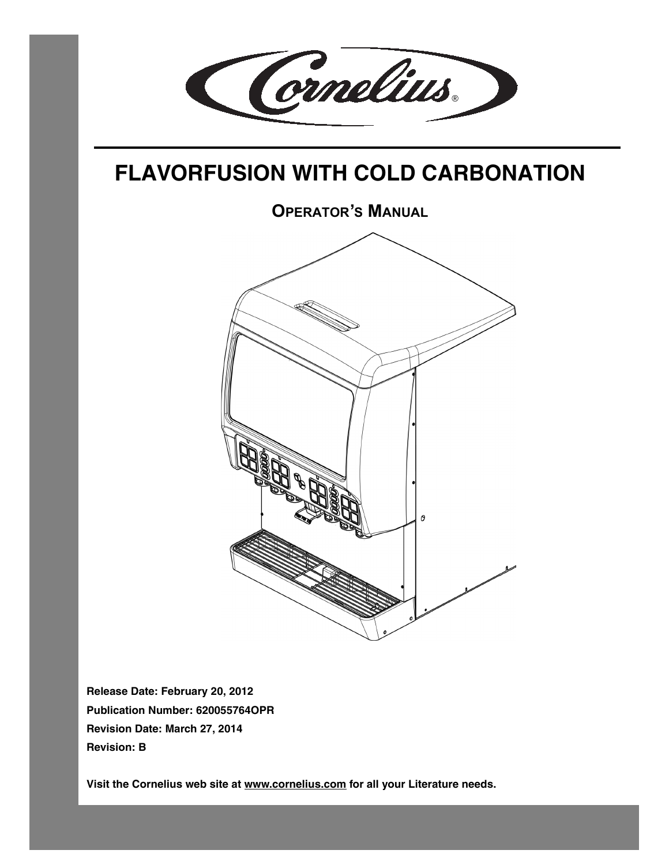

# <span id="page-0-0"></span>**FLAVORFUSION WITH COLD CARBONATION**

**OPERATOR'S MANUAL** 0

**Release Date: February 20, 2012 Publication Number: 620055764OPR Revision Date: March 27, 2014 Revision: B**

**Visit the Cornelius web site at [www.cornelius.com](http://www.cornelius.com) for all your Literature needs.**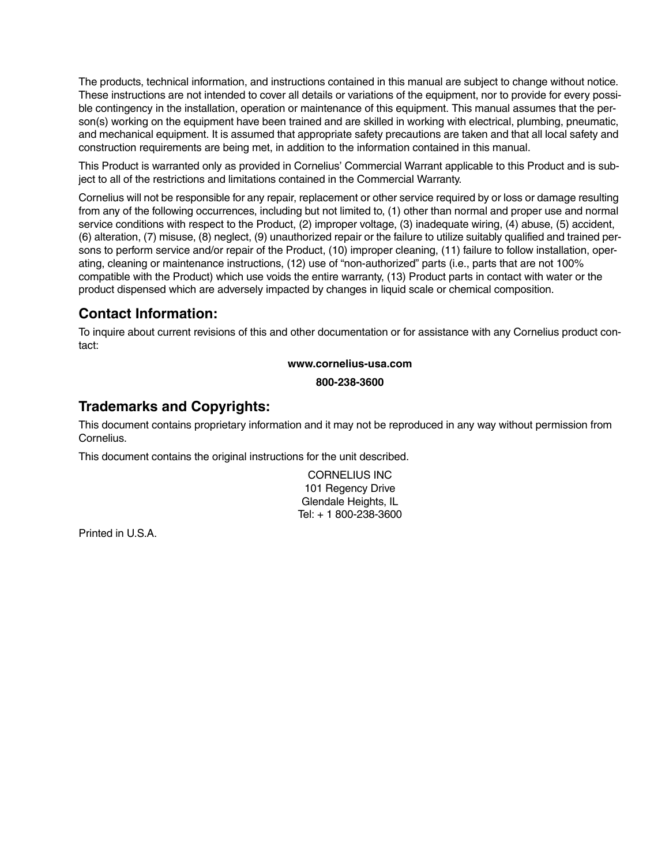The products, technical information, and instructions contained in this manual are subject to change without notice. These instructions are not intended to cover all details or variations of the equipment, nor to provide for every possible contingency in the installation, operation or maintenance of this equipment. This manual assumes that the person(s) working on the equipment have been trained and are skilled in working with electrical, plumbing, pneumatic, and mechanical equipment. It is assumed that appropriate safety precautions are taken and that all local safety and construction requirements are being met, in addition to the information contained in this manual.

This Product is warranted only as provided in Cornelius' Commercial Warrant applicable to this Product and is subject to all of the restrictions and limitations contained in the Commercial Warranty.

Cornelius will not be responsible for any repair, replacement or other service required by or loss or damage resulting from any of the following occurrences, including but not limited to, (1) other than normal and proper use and normal service conditions with respect to the Product, (2) improper voltage, (3) inadequate wiring, (4) abuse, (5) accident, (6) alteration, (7) misuse, (8) neglect, (9) unauthorized repair or the failure to utilize suitably qualified and trained persons to perform service and/or repair of the Product, (10) improper cleaning, (11) failure to follow installation, operating, cleaning or maintenance instructions, (12) use of "non-authorized" parts (i.e., parts that are not 100% compatible with the Product) which use voids the entire warranty, (13) Product parts in contact with water or the product dispensed which are adversely impacted by changes in liquid scale or chemical composition.

#### **Contact Information:**

To inquire about current revisions of this and other documentation or for assistance with any Cornelius product contact:

**www.cornelius-usa.com**

**800-238-3600**

#### **Trademarks and Copyrights:**

This document contains proprietary information and it may not be reproduced in any way without permission from Cornelius.

This document contains the original instructions for the unit described.

CORNELIUS INC 101 Regency Drive Glendale Heights, IL Tel: + 1 800-238-3600

Printed in U.S.A.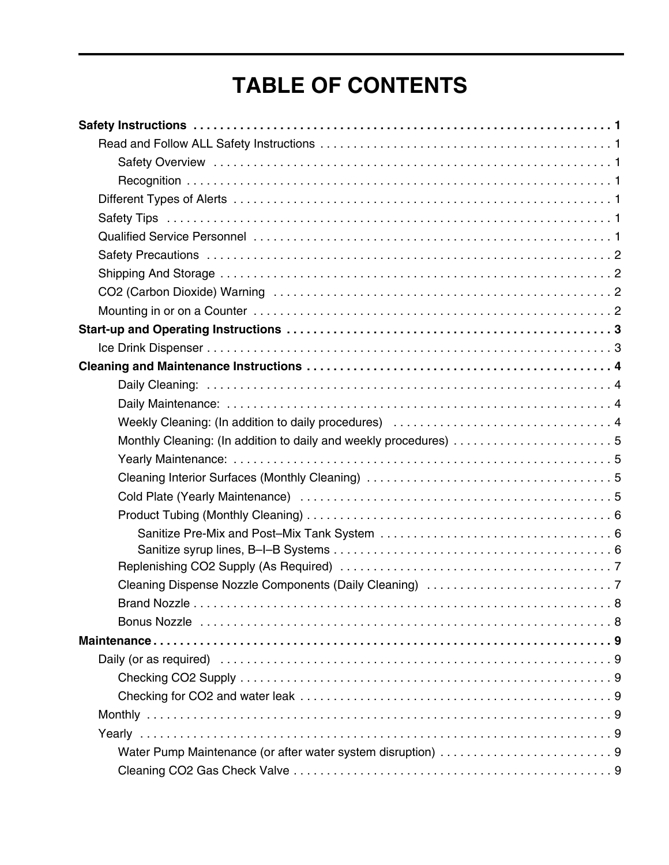# **[TABLE OF CONTENTS](#page-0-0)**

| Monthly Cleaning: (In addition to daily and weekly procedures) 5 |  |
|------------------------------------------------------------------|--|
|                                                                  |  |
|                                                                  |  |
|                                                                  |  |
|                                                                  |  |
|                                                                  |  |
|                                                                  |  |
|                                                                  |  |
|                                                                  |  |
|                                                                  |  |
|                                                                  |  |
|                                                                  |  |
|                                                                  |  |
|                                                                  |  |
|                                                                  |  |
|                                                                  |  |
|                                                                  |  |
| Water Pump Maintenance (or after water system disruption) 9      |  |
|                                                                  |  |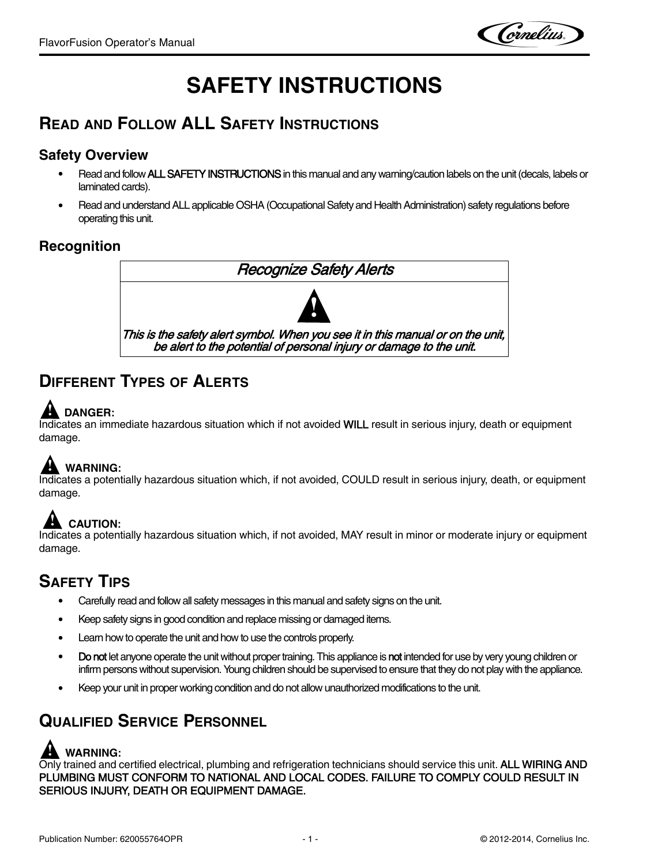Cornelius.

# **SAFETY INSTRUCTIONS**

## <span id="page-4-1"></span><span id="page-4-0"></span>**READ AND FOLLOW ALL SAFETY INSTRUCTIONS**

#### <span id="page-4-2"></span>**Safety Overview**

- Read and follow ALL SAFETY INSTRUCTIONS in this manual and any warning/caution labels on the unit (decals, labels or laminated cards).
- Read and understand ALL applicable OSHA (Occupational Safety and Health Administration) safety regulations before operating this unit.

#### <span id="page-4-3"></span>**Recognition**



## <span id="page-4-4"></span>**DIFFERENT TYPES OF ALERTS**

# **! DANGER:**

Indicates an immediate hazardous situation which if not avoided WILL result in serious injury, death or equipment damage.

## **! WARNING:**

Indicates a potentially hazardous situation which, if not avoided, COULD result in serious injury, death, or equipment damage.

# **! CAUTION:**

Indicates a potentially hazardous situation which, if not avoided, MAY result in minor or moderate injury or equipment damage.

## <span id="page-4-5"></span>**SAFETY TIPS**

- Carefully read and follow all safety messages in this manual and safety signs on the unit.
- Keep safety signs in good condition and replace missing or damaged items.
- Learn how to operate the unit and how to use the controls properly.
- Do not let anyone operate the unit without proper training. This appliance is not intended for use by very young children or infirm persons without supervision. Young children should be supervised to ensure that they do not play with the appliance.
- Keep your unit in proper working condition and do not allow unauthorized modifications to the unit.

## <span id="page-4-6"></span>**QUALIFIED SERVICE PERSONNEL**

### **! WARNING:**

Only trained and certified electrical, plumbing and refrigeration technicians should service this unit. ALL WIRING AND PLUMBING MUST CONFORM TO NATIONAL AND LOCAL CODES. FAILURE TO COMPLY COULD RESULT IN SERIOUS INJURY, DEATH OR EQUIPMENT DAMAGE.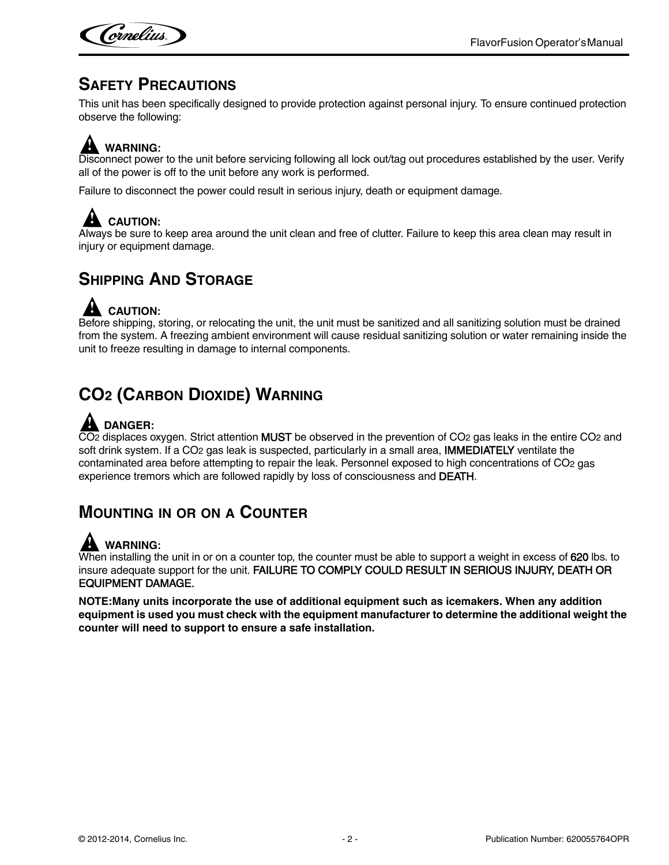

### <span id="page-5-0"></span>**SAFETY PRECAUTIONS**

This unit has been specifically designed to provide protection against personal injury. To ensure continued protection observe the following:

# **! WARNING:**

Disconnect power to the unit before servicing following all lock out/tag out procedures established by the user. Verify all of the power is off to the unit before any work is performed.

Failure to disconnect the power could result in serious injury, death or equipment damage.

## **! CAUTION:**

Always be sure to keep area around the unit clean and free of clutter. Failure to keep this area clean may result in injury or equipment damage.

## <span id="page-5-1"></span>**SHIPPING AND STORAGE**

## **! CAUTION:**

Before shipping, storing, or relocating the unit, the unit must be sanitized and all sanitizing solution must be drained from the system. A freezing ambient environment will cause residual sanitizing solution or water remaining inside the unit to freeze resulting in damage to internal components.

## <span id="page-5-2"></span>**CO2 (CARBON DIOXIDE) WARNING**

## **! DANGER:**

 $\overline{CO2}$  displaces oxygen. Strict attention MUST be observed in the prevention of CO2 gas leaks in the entire CO2 and soft drink system. If a CO<sub>2</sub> gas leak is suspected, particularly in a small area, IMMEDIATELY ventilate the contaminated area before attempting to repair the leak. Personnel exposed to high concentrations of CO2 gas experience tremors which are followed rapidly by loss of consciousness and DEATH.

## <span id="page-5-3"></span>**MOUNTING IN OR ON A COUNTER**

### **! WARNING:**

When installing the unit in or on a counter top, the counter must be able to support a weight in excess of 620 lbs. to insure adequate support for the unit. FAILURE TO COMPLY COULD RESULT IN SERIOUS INJURY, DEATH OR EQUIPMENT DAMAGE.

**NOTE:Many units incorporate the use of additional equipment such as icemakers. When any addition equipment is used you must check with the equipment manufacturer to determine the additional weight the counter will need to support to ensure a safe installation.**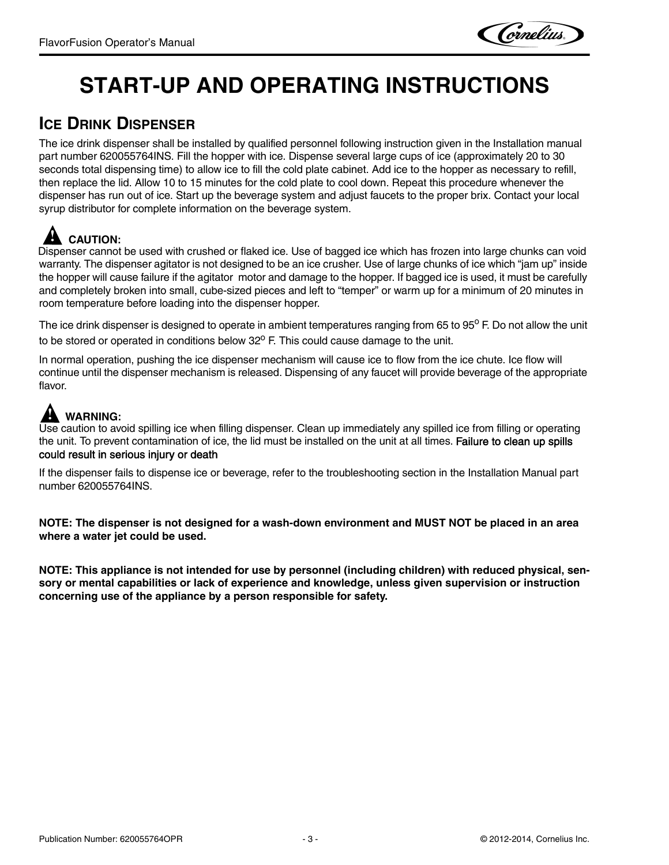# <span id="page-6-0"></span>**START-UP AND OPERATING INSTRUCTIONS**

## <span id="page-6-1"></span>**ICE DRINK DISPENSER**

The ice drink dispenser shall be installed by qualified personnel following instruction given in the Installation manual part number 620055764INS. Fill the hopper with ice. Dispense several large cups of ice (approximately 20 to 30 seconds total dispensing time) to allow ice to fill the cold plate cabinet. Add ice to the hopper as necessary to refill, then replace the lid. Allow 10 to 15 minutes for the cold plate to cool down. Repeat this procedure whenever the dispenser has run out of ice. Start up the beverage system and adjust faucets to the proper brix. Contact your local syrup distributor for complete information on the beverage system.

# **! CAUTION:**

Dispenser cannot be used with crushed or flaked ice. Use of bagged ice which has frozen into large chunks can void warranty. The dispenser agitator is not designed to be an ice crusher. Use of large chunks of ice which "jam up" inside the hopper will cause failure if the agitator motor and damage to the hopper. If bagged ice is used, it must be carefully and completely broken into small, cube-sized pieces and left to "temper" or warm up for a minimum of 20 minutes in room temperature before loading into the dispenser hopper.

The ice drink dispenser is designed to operate in ambient temperatures ranging from 65 to  $95^{\circ}$  F. Do not allow the unit to be stored or operated in conditions below  $32^{\circ}$  F. This could cause damage to the unit.

In normal operation, pushing the ice dispenser mechanism will cause ice to flow from the ice chute. Ice flow will continue until the dispenser mechanism is released. Dispensing of any faucet will provide beverage of the appropriate flavor.

# **! WARNING:**

Use caution to avoid spilling ice when filling dispenser. Clean up immediately any spilled ice from filling or operating the unit. To prevent contamination of ice, the lid must be installed on the unit at all times. Failure to clean up spills could result in serious injury or death

If the dispenser fails to dispense ice or beverage, refer to the troubleshooting section in the Installation Manual part number 620055764INS.

**NOTE: The dispenser is not designed for a wash-down environment and MUST NOT be placed in an area where a water jet could be used.**

**NOTE: This appliance is not intended for use by personnel (including children) with reduced physical, sensory or mental capabilities or lack of experience and knowledge, unless given supervision or instruction concerning use of the appliance by a person responsible for safety.**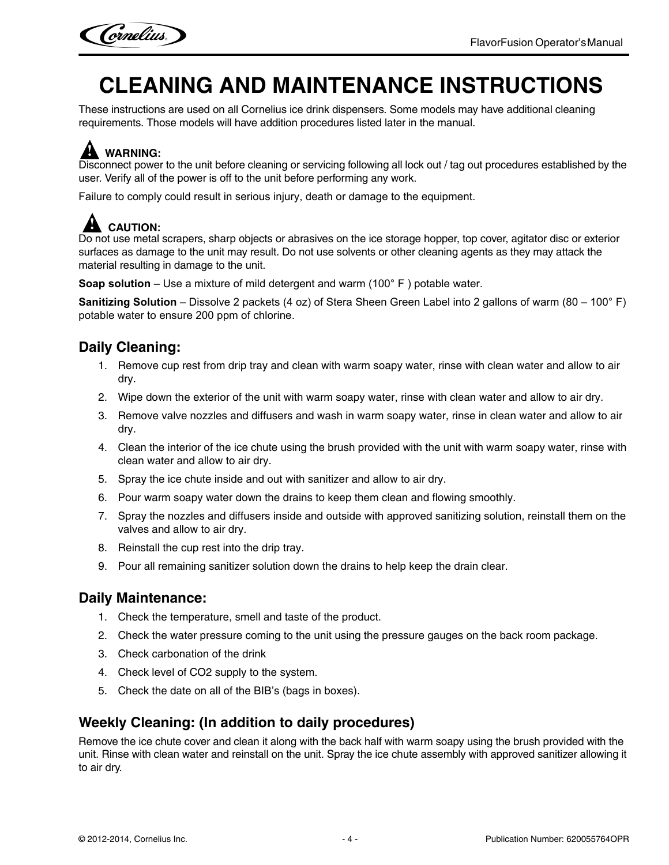

# <span id="page-7-0"></span>**CLEANING AND MAINTENANCE INSTRUCTIONS**

These instructions are used on all Cornelius ice drink dispensers. Some models may have additional cleaning requirements. Those models will have addition procedures listed later in the manual.

# **! WARNING:**

Disconnect power to the unit before cleaning or servicing following all lock out / tag out procedures established by the user. Verify all of the power is off to the unit before performing any work.

Failure to comply could result in serious injury, death or damage to the equipment.

## **! CAUTION:**

Do not use metal scrapers, sharp objects or abrasives on the ice storage hopper, top cover, agitator disc or exterior surfaces as damage to the unit may result. Do not use solvents or other cleaning agents as they may attack the material resulting in damage to the unit.

**Soap solution** – Use a mixture of mild detergent and warm (100° F ) potable water.

**Sanitizing Solution** – Dissolve 2 packets (4 oz) of Stera Sheen Green Label into 2 gallons of warm (80 – 100° F) potable water to ensure 200 ppm of chlorine.

### <span id="page-7-1"></span>**Daily Cleaning:**

- 1. Remove cup rest from drip tray and clean with warm soapy water, rinse with clean water and allow to air dry.
- 2. Wipe down the exterior of the unit with warm soapy water, rinse with clean water and allow to air dry.
- 3. Remove valve nozzles and diffusers and wash in warm soapy water, rinse in clean water and allow to air dry.
- 4. Clean the interior of the ice chute using the brush provided with the unit with warm soapy water, rinse with clean water and allow to air dry.
- 5. Spray the ice chute inside and out with sanitizer and allow to air dry.
- 6. Pour warm soapy water down the drains to keep them clean and flowing smoothly.
- 7. Spray the nozzles and diffusers inside and outside with approved sanitizing solution, reinstall them on the valves and allow to air dry.
- 8. Reinstall the cup rest into the drip tray.
- 9. Pour all remaining sanitizer solution down the drains to help keep the drain clear.

#### <span id="page-7-2"></span>**Daily Maintenance:**

- 1. Check the temperature, smell and taste of the product.
- 2. Check the water pressure coming to the unit using the pressure gauges on the back room package.
- 3. Check carbonation of the drink
- 4. Check level of CO2 supply to the system.
- 5. Check the date on all of the BIB's (bags in boxes).

#### <span id="page-7-3"></span>**Weekly Cleaning: (In addition to daily procedures)**

Remove the ice chute cover and clean it along with the back half with warm soapy using the brush provided with the unit. Rinse with clean water and reinstall on the unit. Spray the ice chute assembly with approved sanitizer allowing it to air dry.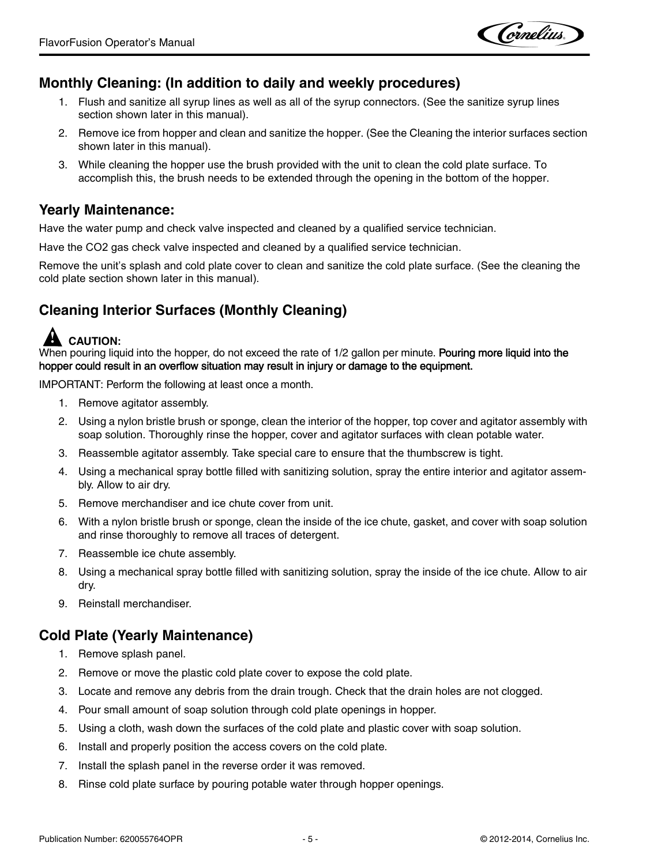Cornelius.

#### <span id="page-8-0"></span>**Monthly Cleaning: (In addition to daily and weekly procedures)**

- 1. Flush and sanitize all syrup lines as well as all of the syrup connectors. (See the sanitize syrup lines section shown later in this manual).
- 2. Remove ice from hopper and clean and sanitize the hopper. (See the Cleaning the interior surfaces section shown later in this manual).
- 3. While cleaning the hopper use the brush provided with the unit to clean the cold plate surface. To accomplish this, the brush needs to be extended through the opening in the bottom of the hopper.

#### <span id="page-8-1"></span>**Yearly Maintenance:**

Have the water pump and check valve inspected and cleaned by a qualified service technician.

Have the CO2 gas check valve inspected and cleaned by a qualified service technician.

Remove the unit's splash and cold plate cover to clean and sanitize the cold plate surface. (See the cleaning the cold plate section shown later in this manual).

### <span id="page-8-2"></span>**Cleaning Interior Surfaces (Monthly Cleaning)**

## **! CAUTION:**

When pouring liquid into the hopper, do not exceed the rate of 1/2 gallon per minute. Pouring more liquid into the hopper could result in an overflow situation may result in injury or damage to the equipment.

IMPORTANT: Perform the following at least once a month.

- 1. Remove agitator assembly.
- 2. Using a nylon bristle brush or sponge, clean the interior of the hopper, top cover and agitator assembly with soap solution. Thoroughly rinse the hopper, cover and agitator surfaces with clean potable water.
- 3. Reassemble agitator assembly. Take special care to ensure that the thumbscrew is tight.
- 4. Using a mechanical spray bottle filled with sanitizing solution, spray the entire interior and agitator assembly. Allow to air dry.
- 5. Remove merchandiser and ice chute cover from unit.
- 6. With a nylon bristle brush or sponge, clean the inside of the ice chute, gasket, and cover with soap solution and rinse thoroughly to remove all traces of detergent.
- 7. Reassemble ice chute assembly.
- 8. Using a mechanical spray bottle filled with sanitizing solution, spray the inside of the ice chute. Allow to air dry.
- 9. Reinstall merchandiser.

#### <span id="page-8-3"></span>**Cold Plate (Yearly Maintenance)**

- 1. Remove splash panel.
- 2. Remove or move the plastic cold plate cover to expose the cold plate.
- 3. Locate and remove any debris from the drain trough. Check that the drain holes are not clogged.
- 4. Pour small amount of soap solution through cold plate openings in hopper.
- 5. Using a cloth, wash down the surfaces of the cold plate and plastic cover with soap solution.
- 6. Install and properly position the access covers on the cold plate.
- 7. Install the splash panel in the reverse order it was removed.
- 8. Rinse cold plate surface by pouring potable water through hopper openings.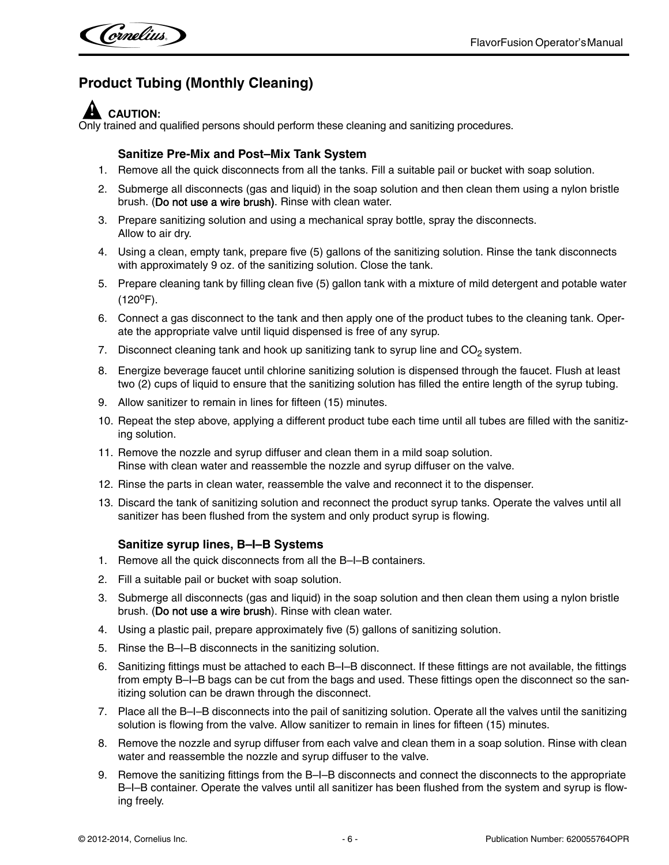### <span id="page-9-0"></span>**Product Tubing (Monthly Cleaning)**

## **! CAUTION:**

Only trained and qualified persons should perform these cleaning and sanitizing procedures.

#### **Sanitize Pre-Mix and Post–Mix Tank System**

- 1. Remove all the quick disconnects from all the tanks. Fill a suitable pail or bucket with soap solution.
- 2. Submerge all disconnects (gas and liquid) in the soap solution and then clean them using a nylon bristle brush. (Do not use a wire brush). Rinse with clean water.
- 3. Prepare sanitizing solution and using a mechanical spray bottle, spray the disconnects. Allow to air dry.
- 4. Using a clean, empty tank, prepare five (5) gallons of the sanitizing solution. Rinse the tank disconnects with approximately 9 oz. of the sanitizing solution. Close the tank.
- 5. Prepare cleaning tank by filling clean five (5) gallon tank with a mixture of mild detergent and potable water  $(120^{\circ}F).$
- 6. Connect a gas disconnect to the tank and then apply one of the product tubes to the cleaning tank. Operate the appropriate valve until liquid dispensed is free of any syrup.
- 7. Disconnect cleaning tank and hook up sanitizing tank to syrup line and  $CO<sub>2</sub>$  system.
- 8. Energize beverage faucet until chlorine sanitizing solution is dispensed through the faucet. Flush at least two (2) cups of liquid to ensure that the sanitizing solution has filled the entire length of the syrup tubing.
- 9. Allow sanitizer to remain in lines for fifteen (15) minutes.
- 10. Repeat the step above, applying a different product tube each time until all tubes are filled with the sanitizing solution.
- 11. Remove the nozzle and syrup diffuser and clean them in a mild soap solution. Rinse with clean water and reassemble the nozzle and syrup diffuser on the valve.
- 12. Rinse the parts in clean water, reassemble the valve and reconnect it to the dispenser.
- 13. Discard the tank of sanitizing solution and reconnect the product syrup tanks. Operate the valves until all sanitizer has been flushed from the system and only product syrup is flowing.

#### **Sanitize syrup lines, B–I–B Systems**

- <span id="page-9-1"></span>1. Remove all the quick disconnects from all the B–I–B containers.
- 2. Fill a suitable pail or bucket with soap solution.
- 3. Submerge all disconnects (gas and liquid) in the soap solution and then clean them using a nylon bristle brush. (Do not use a wire brush). Rinse with clean water.
- 4. Using a plastic pail, prepare approximately five (5) gallons of sanitizing solution.
- 5. Rinse the B–I–B disconnects in the sanitizing solution.
- 6. Sanitizing fittings must be attached to each B–I–B disconnect. If these fittings are not available, the fittings from empty B–I–B bags can be cut from the bags and used. These fittings open the disconnect so the sanitizing solution can be drawn through the disconnect.
- 7. Place all the B–I–B disconnects into the pail of sanitizing solution. Operate all the valves until the sanitizing solution is flowing from the valve. Allow sanitizer to remain in lines for fifteen (15) minutes.
- 8. Remove the nozzle and syrup diffuser from each valve and clean them in a soap solution. Rinse with clean water and reassemble the nozzle and syrup diffuser to the valve.
- 9. Remove the sanitizing fittings from the B–I–B disconnects and connect the disconnects to the appropriate B–I–B container. Operate the valves until all sanitizer has been flushed from the system and syrup is flowing freely.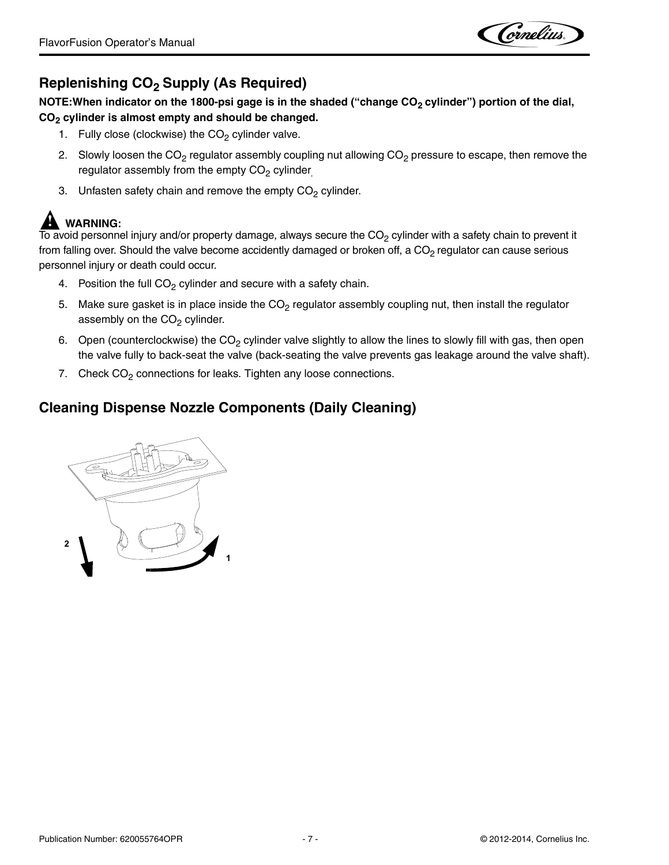Cornelius.

### <span id="page-10-0"></span>**Replenishing CO<sub>2</sub> Supply (As Required)**

NOTE: When indicator on the 1800-psi gage is in the shaded ("change CO<sub>2</sub> cylinder") portion of the dial, **CO2 cylinder is almost empty and should be changed.**

- 1. Fully close (clockwise) the  $CO<sub>2</sub>$  cylinder valve.
- 2. Slowly loosen the  $CO<sub>2</sub>$  regulator assembly coupling nut allowing  $CO<sub>2</sub>$  pressure to escape, then remove the regulator assembly from the empty  $CO<sub>2</sub>$  cylinder.
- 3. Unfasten safety chain and remove the empty  $CO<sub>2</sub>$  cylinder.

### **! WARNING:**

 $\overline{10}$  avoid personnel injury and/or property damage, always secure the CO<sub>2</sub> cylinder with a safety chain to prevent it from falling over. Should the valve become accidently damaged or broken off, a CO<sub>2</sub> regulator can cause serious personnel injury or death could occur.

- 4. Position the full  $CO<sub>2</sub>$  cylinder and secure with a safety chain.
- 5. Make sure gasket is in place inside the  $CO<sub>2</sub>$  regulator assembly coupling nut, then install the regulator assembly on the  $CO<sub>2</sub>$  cylinder.
- 6. Open (counterclockwise) the  $CO<sub>2</sub>$  cylinder valve slightly to allow the lines to slowly fill with gas, then open the valve fully to back-seat the valve (back-seating the valve prevents gas leakage around the valve shaft).
- 7. Check  $CO<sub>2</sub>$  connections for leaks. Tighten any loose connections.

#### <span id="page-10-1"></span>**Cleaning Dispense Nozzle Components (Daily Cleaning)**

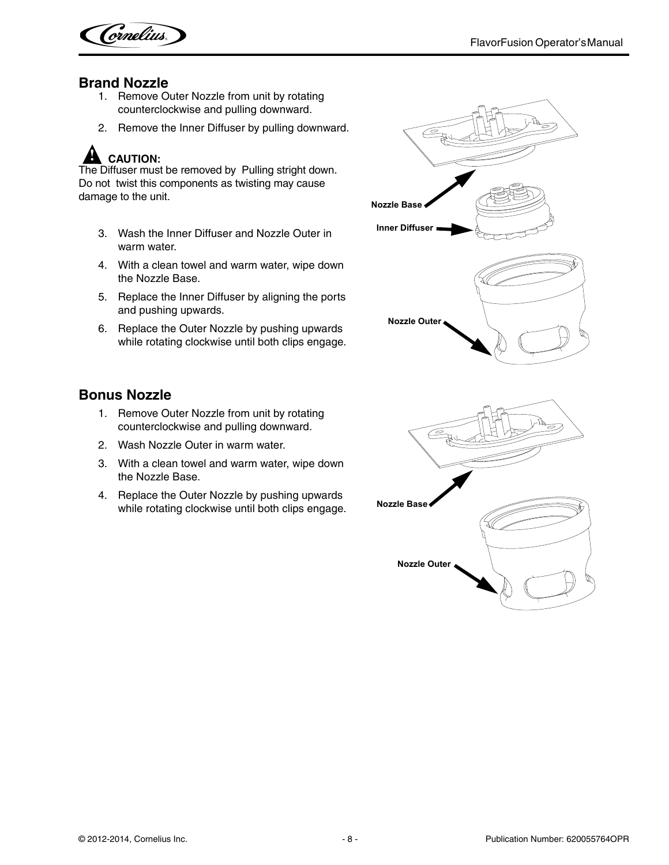

#### <span id="page-11-0"></span>**Brand Nozzle**

- 1. Remove Outer Nozzle from unit by rotating counterclockwise and pulling downward.
- 2. Remove the Inner Diffuser by pulling downward.

## **! CAUTION:**

The Diffuser must be removed by Pulling stright down. Do not twist this components as twisting may cause damage to the unit.

- 3. Wash the Inner Diffuser and Nozzle Outer in warm water.
- 4. With a clean towel and warm water, wipe down the Nozzle Base.
- 5. Replace the Inner Diffuser by aligning the ports and pushing upwards.
- 6. Replace the Outer Nozzle by pushing upwards while rotating clockwise until both clips engage.

#### <span id="page-11-1"></span>**Bonus Nozzle**

- 1. Remove Outer Nozzle from unit by rotating counterclockwise and pulling downward.
- 2. Wash Nozzle Outer in warm water.
- 3. With a clean towel and warm water, wipe down the Nozzle Base.
- 4. Replace the Outer Nozzle by pushing upwards while rotating clockwise until both clips engage. **Nozzle Base**

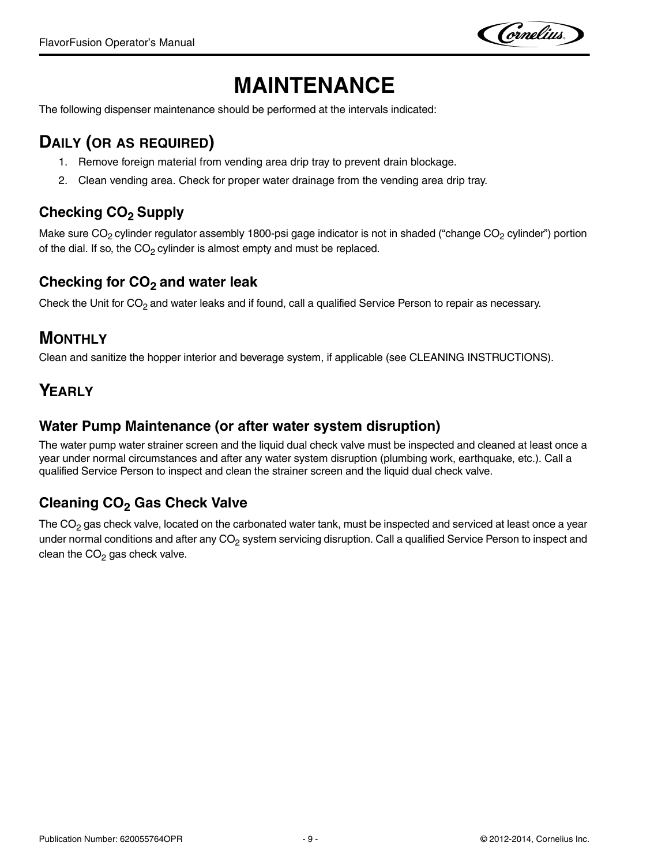Cornelius.

# **MAINTENANCE**

<span id="page-12-0"></span>The following dispenser maintenance should be performed at the intervals indicated:

## <span id="page-12-1"></span>**DAILY (OR AS REQUIRED)**

- 1. Remove foreign material from vending area drip tray to prevent drain blockage.
- 2. Clean vending area. Check for proper water drainage from the vending area drip tray.

### <span id="page-12-2"></span>**Checking CO2 Supply**

Make sure  $CO_2$  cylinder regulator assembly 1800-psi gage indicator is not in shaded ("change  $CO_2$  cylinder") portion of the dial. If so, the  $CO<sub>2</sub>$  cylinder is almost empty and must be replaced.

#### <span id="page-12-3"></span>**Checking for CO2 and water leak**

Check the Unit for  $CO<sub>2</sub>$  and water leaks and if found, call a qualified Service Person to repair as necessary.

#### <span id="page-12-4"></span>**MONTHLY**

Clean and sanitize the hopper interior and beverage system, if applicable (see CLEANING INSTRUCTIONS).

## <span id="page-12-5"></span>**YEARLY**

#### <span id="page-12-6"></span>**Water Pump Maintenance (or after water system disruption)**

The water pump water strainer screen and the liquid dual check valve must be inspected and cleaned at least once a year under normal circumstances and after any water system disruption (plumbing work, earthquake, etc.). Call a qualified Service Person to inspect and clean the strainer screen and the liquid dual check valve.

### <span id="page-12-7"></span>**Cleaning CO<sub>2</sub> Gas Check Valve**

The  $CO<sub>2</sub>$  gas check valve, located on the carbonated water tank, must be inspected and serviced at least once a year under normal conditions and after any CO<sub>2</sub> system servicing disruption. Call a qualified Service Person to inspect and clean the  $CO<sub>2</sub>$  gas check valve.